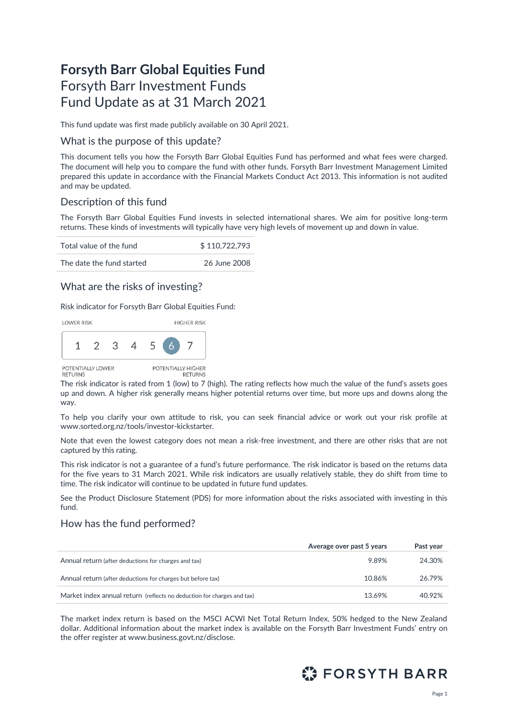# **Forsyth Barr Global Equities Fund** Forsyth Barr Investment Funds Fund Update as at 31 March 2021

This fund update was first made publicly available on 30 April 2021.

#### What is the purpose of this update?

This document tells you how the Forsyth Barr Global Equities Fund has performed and what fees were charged. The document will help you to compare the fund with other funds. Forsyth Barr Investment Management Limited prepared this update in accordance with the Financial Markets Conduct Act 2013. This information is not audited and may be updated.

### Description of this fund

The Forsyth Barr Global Equities Fund invests in selected international shares. We aim for positive long-term returns. These kinds of investments will typically have very high levels of movement up and down in value.

| Total value of the fund   | \$110,722,793 |
|---------------------------|---------------|
| The date the fund started | 26 June 2008  |

### What are the risks of investing?

Risk indicator for Forsyth Barr Global Equities Fund:



The risk indicator is rated from 1 (low) to 7 (high). The rating reflects how much the value of the fund's assets goes up and down. A higher risk generally means higher potential returns over time, but more ups and downs along the way.

To help you clarify your own attitude to risk, you can seek financial advice or work out your risk profile at [www.sorted.org.nz/tools/investor-kickstarter.](http://www.sorted.org.nz/tools/investor-kickstarter)

Note that even the lowest category does not mean a risk-free investment, and there are other risks that are not captured by this rating.

This risk indicator is not a guarantee of a fund's future performance. The risk indicator is based on the returns data for the five years to 31 March 2021. While risk indicators are usually relatively stable, they do shift from time to time. The risk indicator will continue to be updated in future fund updates.

See the Product Disclosure Statement (PDS) for more information about the risks associated with investing in this fund.

### How has the fund performed?

|                                                                        | Average over past 5 years | Past year |
|------------------------------------------------------------------------|---------------------------|-----------|
| Annual return (after deductions for charges and tax)                   | 9.89%                     | 24.30%    |
| Annual return (after deductions for charges but before tax)            | 10.86%                    | 26.79%    |
| Market index annual return (reflects no deduction for charges and tax) | 13.69%                    | 40.92%    |

The market index return is based on the MSCI ACWI Net Total Return Index, 50% hedged to the New Zealand dollar. Additional information about the market index is available on the Forsyth Barr Investment Funds' entry on the offer register at [www.business.govt.nz/disclose](http://www.business.govt.nz/disclose)*.*

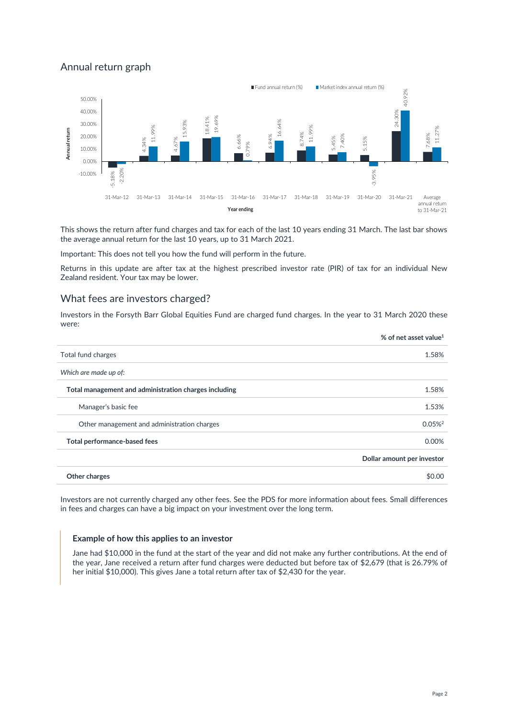# Annual return graph



This shows the return after fund charges and tax for each of the last 10 years ending 31 March. The last bar shows the average annual return for the last 10 years, up to 31 March 2021.

Important: This does not tell you how the fund will perform in the future.

Returns in this update are after tax at the highest prescribed investor rate (PIR) of tax for an individual New Zealand resident. Your tax may be lower.

#### What fees are investors charged?

Investors in the Forsyth Barr Global Equities Fund are charged fund charges. In the year to 31 March 2020 these were:

| Total fund charges<br>Which are made up of:<br>Total management and administration charges including<br>Manager's basic fee<br>Other management and administration charges<br>Total performance-based fees<br>Other charges | % of net asset value <sup>1</sup> |
|-----------------------------------------------------------------------------------------------------------------------------------------------------------------------------------------------------------------------------|-----------------------------------|
|                                                                                                                                                                                                                             | 1.58%                             |
|                                                                                                                                                                                                                             |                                   |
|                                                                                                                                                                                                                             | 1.58%                             |
|                                                                                                                                                                                                                             | 1.53%                             |
|                                                                                                                                                                                                                             | $0.05\%$ <sup>2</sup>             |
|                                                                                                                                                                                                                             | 0.00%                             |
|                                                                                                                                                                                                                             | Dollar amount per investor        |
|                                                                                                                                                                                                                             | \$0.00                            |

Investors are not currently charged any other fees. See the PDS for more information about fees. Small differences in fees and charges can have a big impact on your investment over the long term.

#### **Example of how this applies to an investor**

Jane had \$10,000 in the fund at the start of the year and did not make any further contributions. At the end of the year, Jane received a return after fund charges were deducted but before tax of \$2,679 (that is 26.79% of her initial \$10,000). This gives Jane a total return after tax of \$2,430 for the year.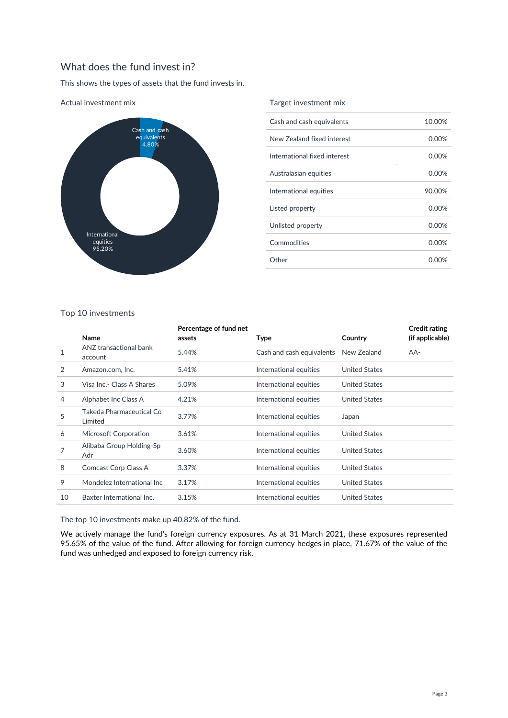# What does the fund invest in?

This shows the types of assets that the fund invests in.



#### Actual investment mix

#### Target investment mix

| Cash and cash equivalents    | 10.00%   |
|------------------------------|----------|
| New Zealand fixed interest   | $0.00\%$ |
| International fixed interest | $0.00\%$ |
| Australasian equities        | 0.00%    |
| International equities       | 90.00%   |
| Listed property              | $0.00\%$ |
| Unlisted property            | 0.00%    |
| Commodities                  | $0.00\%$ |
| Other                        | 0.00%    |

#### Top 10 investments

|    | Name                                | Percentage of fund net<br>assets | <b>Type</b>               | Country              | <b>Credit rating</b><br>(if applicable) |
|----|-------------------------------------|----------------------------------|---------------------------|----------------------|-----------------------------------------|
| 1  | ANZ transactional bank<br>account   | 5.44%                            | Cash and cash equivalents | New Zealand          | AA-                                     |
| 2  | Amazon.com, Inc.                    | 5.41%                            | International equities    | <b>United States</b> |                                         |
| 3  | Visa Inc.- Class A Shares           | 5.09%                            | International equities    | <b>United States</b> |                                         |
| 4  | Alphabet Inc Class A                | 4.21%                            | International equities    | <b>United States</b> |                                         |
| 5  | Takeda Pharmaceutical Co<br>Limited | 3.77%                            | International equities    | Japan                |                                         |
| 6  | Microsoft Corporation               | 3.61%                            | International equities    | <b>United States</b> |                                         |
| 7  | Alibaba Group Holding-Sp<br>Adr     | 3.60%                            | International equities    | <b>United States</b> |                                         |
| 8  | Comcast Corp Class A                | 3.37%                            | International equities    | <b>United States</b> |                                         |
| 9  | Mondelez International Inc          | 3.17%                            | International equities    | <b>United States</b> |                                         |
| 10 | Baxter International Inc.           | 3.15%                            | International equities    | <b>United States</b> |                                         |
|    |                                     |                                  |                           |                      |                                         |

The top 10 investments make up 40.82% of the fund.

We actively manage the fund's foreign currency exposures. As at 31 March 2021, these exposures represented 95.65% of the value of the fund. After allowing for foreign currency hedges in place, 71.67% of the value of the fund was unhedged and exposed to foreign currency risk.